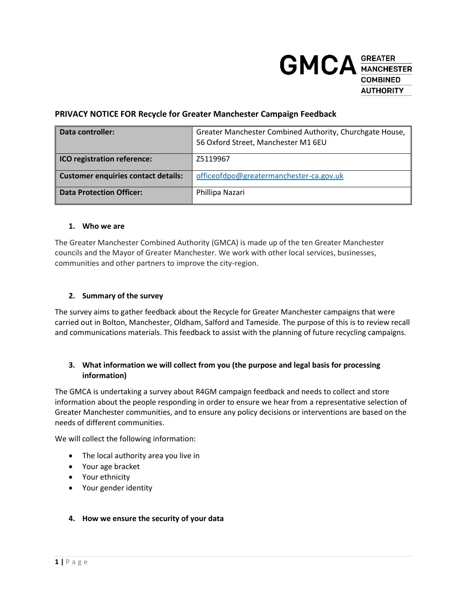

## **PRIVACY NOTICE FOR Recycle for Greater Manchester Campaign Feedback**

| Data controller:                           | Greater Manchester Combined Authority, Churchgate House,<br>56 Oxford Street, Manchester M1 6EU |
|--------------------------------------------|-------------------------------------------------------------------------------------------------|
| <b>ICO registration reference:</b>         | Z5119967                                                                                        |
| <b>Customer enquiries contact details:</b> | officeofdpo@greatermanchester-ca.gov.uk                                                         |
| <b>Data Protection Officer:</b>            | Phillipa Nazari                                                                                 |

### **1. Who we are**

The Greater Manchester Combined Authority (GMCA) is made up of the ten Greater Manchester councils and the Mayor of Greater Manchester. We work with other local services, businesses, communities and other partners to improve the city-region.

### **2. Summary of the survey**

The survey aims to gather feedback about the Recycle for Greater Manchester campaigns that were carried out in Bolton, Manchester, Oldham, Salford and Tameside. The purpose of this is to review recall and communications materials. This feedback to assist with the planning of future recycling campaigns.

## **3. What information we will collect from you (the purpose and legal basis for processing information)**

The GMCA is undertaking a survey about R4GM campaign feedback and needs to collect and store information about the people responding in order to ensure we hear from a representative selection of Greater Manchester communities, and to ensure any policy decisions or interventions are based on the needs of different communities.

We will collect the following information:

- The local authority area you live in
- Your age bracket
- Your ethnicity
- Your gender identity

### **4. How we ensure the security of your data**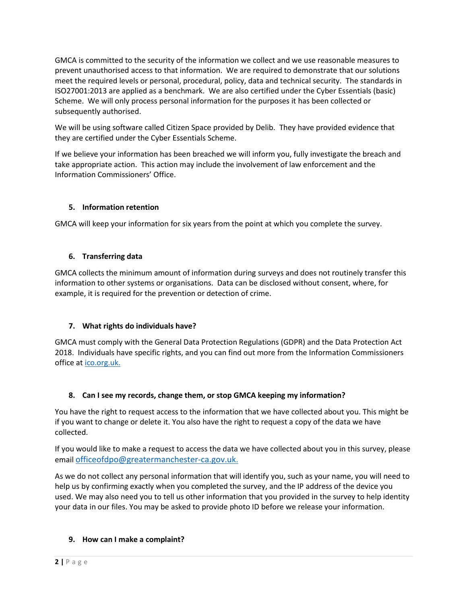GMCA is committed to the security of the information we collect and we use reasonable measures to prevent unauthorised access to that information. We are required to demonstrate that our solutions meet the required levels or personal, procedural, policy, data and technical security. The standards in ISO27001:2013 are applied as a benchmark. We are also certified under the Cyber Essentials (basic) Scheme. We will only process personal information for the purposes it has been collected or subsequently authorised.

We will be using software called Citizen Space provided by Delib. They have provided evidence that they are certified under the Cyber Essentials Scheme.

If we believe your information has been breached we will inform you, fully investigate the breach and take appropriate action. This action may include the involvement of law enforcement and the Information Commissioners' Office.

# **5. Information retention**

GMCA will keep your information for six years from the point at which you complete the survey.

## **6. Transferring data**

GMCA collects the minimum amount of information during surveys and does not routinely transfer this information to other systems or organisations. Data can be disclosed without consent, where, for example, it is required for the prevention or detection of crime.

## **7. What rights do individuals have?**

GMCA must comply with the General Data Protection Regulations (GDPR) and the Data Protection Act 2018. Individuals have specific rights, and you can find out more from the Information Commissioners office at [ico.org.uk.](https://ico.org.uk/)

# **8. Can I see my records, change them, or stop GMCA keeping my information?**

You have the right to request access to the information that we have collected about you. This might be if you want to change or delete it. You also have the right to request a copy of the data we have collected.

If you would like to make a request to access the data we have collected about you in this survey, please email [officeofdpo@greatermanchester-ca.gov.uk](mailto:dataprotection@manchesterfire.gov.uk).

As we do not collect any personal information that will identify you, such as your name, you will need to help us by confirming exactly when you completed the survey, and the IP address of the device you used. We may also need you to tell us other information that you provided in the survey to help identity your data in our files. You may be asked to provide photo ID before we release your information.

## **9. How can I make a complaint?**